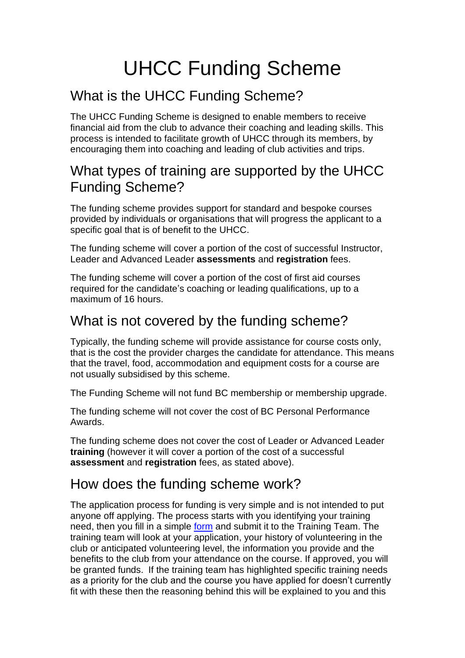# UHCC Funding Scheme

## What is the UHCC Funding Scheme?

The UHCC Funding Scheme is designed to enable members to receive financial aid from the club to advance their coaching and leading skills. This process is intended to facilitate growth of UHCC through its members, by encouraging them into coaching and leading of club activities and trips.

#### What types of training are supported by the UHCC Funding Scheme?

The funding scheme provides support for standard and bespoke courses provided by individuals or organisations that will progress the applicant to a specific goal that is of benefit to the UHCC.

The funding scheme will cover a portion of the cost of successful Instructor, Leader and Advanced Leader **assessments** and **registration** fees.

The funding scheme will cover a portion of the cost of first aid courses required for the candidate's coaching or leading qualifications, up to a maximum of 16 hours.

#### What is not covered by the funding scheme?

Typically, the funding scheme will provide assistance for course costs only, that is the cost the provider charges the candidate for attendance. This means that the travel, food, accommodation and equipment costs for a course are not usually subsidised by this scheme.

The Funding Scheme will not fund BC membership or membership upgrade.

The funding scheme will not cover the cost of BC Personal Performance Awards.

The funding scheme does not cover the cost of Leader or Advanced Leader **training** (however it will cover a portion of the cost of a successful **assessment** and **registration** fees, as stated above).

### How does the funding scheme work?

The application process for funding is very simple and is not intended to put anyone off applying. The process starts with you identifying your training need, then you fill in a simple [form](https://www.upperhamblecc.co.uk/_files/ugd/fa4e89_57192ae716f14fbfaa26132c1ef1ca20.pdf) and submit it to the Training Team. The training team will look at your application, your history of volunteering in the club or anticipated volunteering level, the information you provide and the benefits to the club from your attendance on the course. If approved, you will be granted funds. If the training team has highlighted specific training needs as a priority for the club and the course you have applied for doesn't currently fit with these then the reasoning behind this will be explained to you and this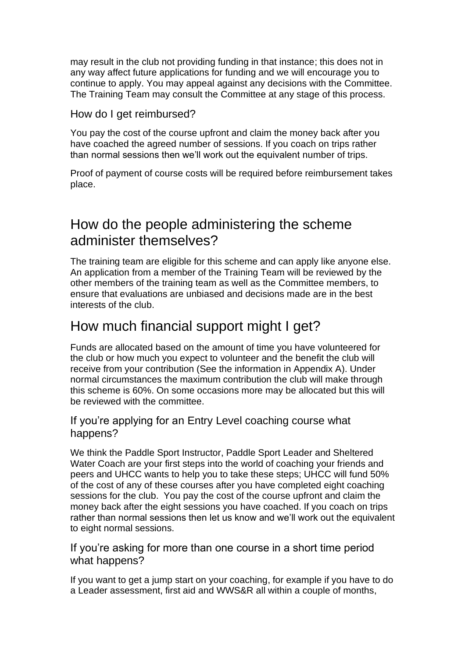may result in the club not providing funding in that instance; this does not in any way affect future applications for funding and we will encourage you to continue to apply. You may appeal against any decisions with the Committee. The Training Team may consult the Committee at any stage of this process.

#### How do I get reimbursed?

You pay the cost of the course upfront and claim the money back after you have coached the agreed number of sessions. If you coach on trips rather than normal sessions then we'll work out the equivalent number of trips.

Proof of payment of course costs will be required before reimbursement takes place.

#### How do the people administering the scheme administer themselves?

The training team are eligible for this scheme and can apply like anyone else. An application from a member of the Training Team will be reviewed by the other members of the training team as well as the Committee members, to ensure that evaluations are unbiased and decisions made are in the best interests of the club.

#### How much financial support might I get?

Funds are allocated based on the amount of time you have volunteered for the club or how much you expect to volunteer and the benefit the club will receive from your contribution (See the information in Appendix A). Under normal circumstances the maximum contribution the club will make through this scheme is 60%. On some occasions more may be allocated but this will be reviewed with the committee.

#### If you're applying for an Entry Level coaching course what happens?

We think the Paddle Sport Instructor, Paddle Sport Leader and Sheltered Water Coach are your first steps into the world of coaching your friends and peers and UHCC wants to help you to take these steps; UHCC will fund 50% of the cost of any of these courses after you have completed eight coaching sessions for the club. You pay the cost of the course upfront and claim the money back after the eight sessions you have coached. If you coach on trips rather than normal sessions then let us know and we'll work out the equivalent to eight normal sessions.

If you're asking for more than one course in a short time period what happens?

If you want to get a jump start on your coaching, for example if you have to do a Leader assessment, first aid and WWS&R all within a couple of months,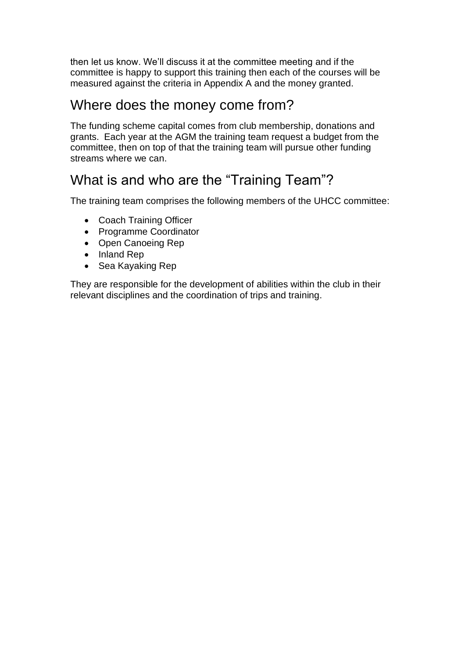then let us know. We'll discuss it at the committee meeting and if the committee is happy to support this training then each of the courses will be measured against the criteria in Appendix A and the money granted.

#### Where does the money come from?

The funding scheme capital comes from club membership, donations and grants. Each year at the AGM the training team request a budget from the committee, then on top of that the training team will pursue other funding streams where we can.

### What is and who are the "Training Team"?

The training team comprises the following members of the UHCC committee:

- Coach Training Officer
- Programme Coordinator
- Open Canoeing Rep
- Inland Rep
- Sea Kayaking Rep

They are responsible for the development of abilities within the club in their relevant disciplines and the coordination of trips and training.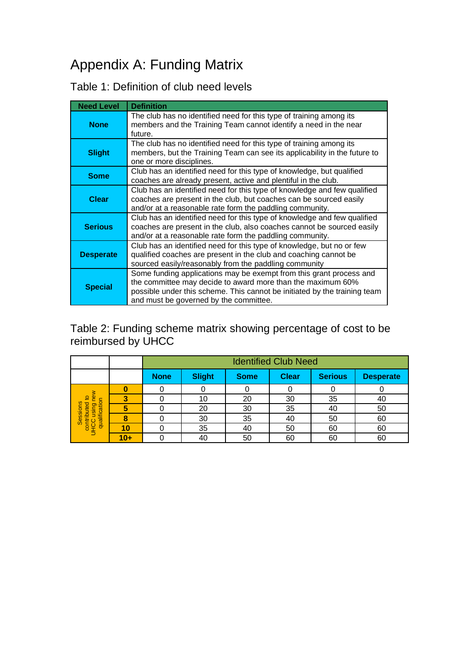## Appendix A: Funding Matrix

#### Table 1: Definition of club need levels

| <b>Need Level</b> | <b>Definition</b>                                                                                                                                                                                                                                         |
|-------------------|-----------------------------------------------------------------------------------------------------------------------------------------------------------------------------------------------------------------------------------------------------------|
| <b>None</b>       | The club has no identified need for this type of training among its<br>members and the Training Team cannot identify a need in the near<br>future.                                                                                                        |
| <b>Slight</b>     | The club has no identified need for this type of training among its<br>members, but the Training Team can see its applicability in the future to<br>one or more disciplines.                                                                              |
| <b>Some</b>       | Club has an identified need for this type of knowledge, but qualified<br>coaches are already present, active and plentiful in the club.                                                                                                                   |
| <b>Clear</b>      | Club has an identified need for this type of knowledge and few qualified<br>coaches are present in the club, but coaches can be sourced easily<br>and/or at a reasonable rate form the paddling community.                                                |
| <b>Serious</b>    | Club has an identified need for this type of knowledge and few qualified<br>coaches are present in the club, also coaches cannot be sourced easily<br>and/or at a reasonable rate form the paddling community.                                            |
| <b>Desperate</b>  | Club has an identified need for this type of knowledge, but no or few<br>qualified coaches are present in the club and coaching cannot be<br>sourced easily/reasonably from the paddling community                                                        |
| <b>Special</b>    | Some funding applications may be exempt from this grant process and<br>the committee may decide to award more than the maximum 60%<br>possible under this scheme. This cannot be initiated by the training team<br>and must be governed by the committee. |

Table 2: Funding scheme matrix showing percentage of cost to be reimbursed by UHCC

|                                                                                    |    | <b>Identified Club Need</b> |               |             |              |                |                  |
|------------------------------------------------------------------------------------|----|-----------------------------|---------------|-------------|--------------|----------------|------------------|
|                                                                                    |    | <b>None</b>                 | <b>Slight</b> | <b>Some</b> | <b>Clear</b> | <b>Serious</b> | <b>Desperate</b> |
| ≩<br>ิั≌<br>₽<br>tion<br>Sessions<br>Ited<br>puist<br>qualifica<br>contr<br>С<br>Ц |    |                             |               |             |              |                |                  |
|                                                                                    |    |                             | 10            | 20          | 30           | 35             | 40               |
|                                                                                    |    |                             | 20            | 30          | 35           | 40             | 50               |
|                                                                                    |    |                             | 30            | 35          | 40           | 50             | 60               |
|                                                                                    | 10 |                             | 35            | 40          | 50           | 60             | 60               |
|                                                                                    | ΛŦ |                             |               | 50          | 60           | 60             | 60               |